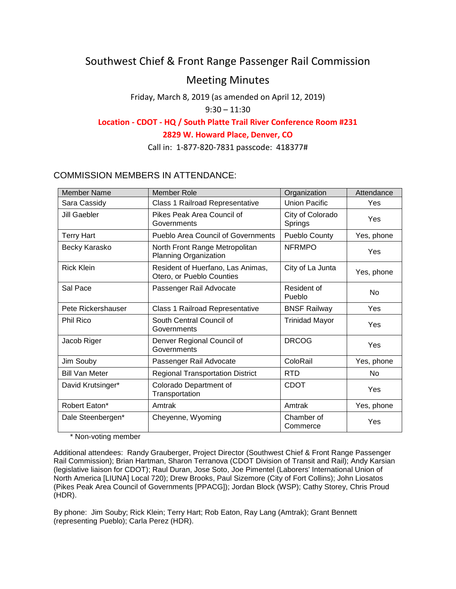# Southwest Chief & Front Range Passenger Rail Commission

# Meeting Minutes

Friday, March 8, 2019 (as amended on April 12, 2019)

# $9:30 - 11:30$

# **Location - CDOT - HQ / South Platte Trail River Conference Room #231**

# **2829 W. Howard Place, Denver, CO**

Call in: 1-877-820-7831 passcode: 418377#

# COMMISSION MEMBERS IN ATTENDANCE:

| <b>Member Name</b>    | <b>Member Role</b>                                             | Organization                | Attendance |
|-----------------------|----------------------------------------------------------------|-----------------------------|------------|
| Sara Cassidy          | Class 1 Railroad Representative                                | <b>Union Pacific</b>        | Yes        |
| Jill Gaebler          | Pikes Peak Area Council of<br>Governments                      | City of Colorado<br>Springs | Yes        |
| <b>Terry Hart</b>     | <b>Pueblo Area Council of Governments</b>                      | Pueblo County               | Yes, phone |
| Becky Karasko         | North Front Range Metropolitan<br><b>Planning Organization</b> | <b>NFRMPO</b>               | Yes        |
| <b>Rick Klein</b>     | Resident of Huerfano, Las Animas,<br>Otero, or Pueblo Counties | City of La Junta            | Yes, phone |
| Sal Pace              | Passenger Rail Advocate                                        | Resident of<br>Pueblo       | <b>No</b>  |
| Pete Rickershauser    | Class 1 Railroad Representative                                | <b>BNSF Railway</b>         | Yes        |
| <b>Phil Rico</b>      | South Central Council of<br>Governments                        | <b>Trinidad Mayor</b>       | Yes        |
| Jacob Riger           | Denver Regional Council of<br>Governments                      | <b>DRCOG</b>                | Yes        |
| Jim Souby             | Passenger Rail Advocate                                        | ColoRail                    | Yes, phone |
| <b>Bill Van Meter</b> | <b>Regional Transportation District</b>                        | <b>RTD</b>                  | <b>No</b>  |
| David Krutsinger*     | Colorado Department of<br>Transportation                       | <b>CDOT</b>                 | Yes        |
| Robert Eaton*         | Amtrak                                                         | Amtrak                      | Yes, phone |
| Dale Steenbergen*     | Cheyenne, Wyoming                                              | Chamber of<br>Commerce      | Yes        |

\* Non-voting member

Additional attendees: Randy Grauberger, Project Director (Southwest Chief & Front Range Passenger Rail Commission); Brian Hartman, Sharon Terranova (CDOT Division of Transit and Rail); Andy Karsian (legislative liaison for CDOT); Raul Duran, Jose Soto, Joe Pimentel (Laborers' International Union of North America [LIUNA] Local 720); Drew Brooks, Paul Sizemore (City of Fort Collins); John Liosatos (Pikes Peak Area Council of Governments [PPACG]); Jordan Block (WSP); Cathy Storey, Chris Proud (HDR).

By phone: Jim Souby; Rick Klein; Terry Hart; Rob Eaton, Ray Lang (Amtrak); Grant Bennett (representing Pueblo); Carla Perez (HDR).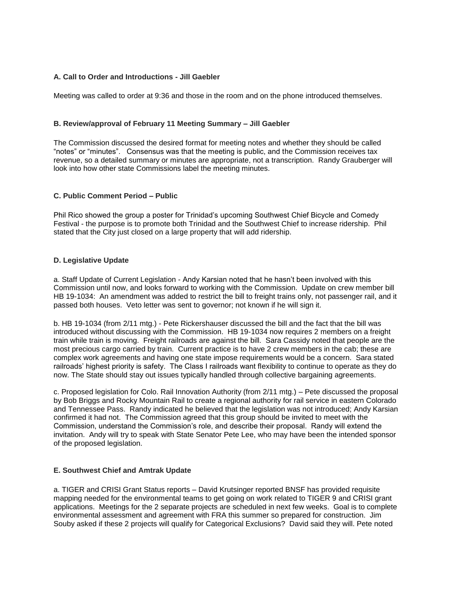#### **A. Call to Order and Introductions - Jill Gaebler**

Meeting was called to order at 9:36 and those in the room and on the phone introduced themselves.

#### **B. Review/approval of February 11 Meeting Summary – Jill Gaebler**

The Commission discussed the desired format for meeting notes and whether they should be called "notes" or "minutes". Consensus was that the meeting is public, and the Commission receives tax revenue, so a detailed summary or minutes are appropriate, not a transcription. Randy Grauberger will look into how other state Commissions label the meeting minutes.

## **C. Public Comment Period – Public**

Phil Rico showed the group a poster for Trinidad's upcoming Southwest Chief Bicycle and Comedy Festival - the purpose is to promote both Trinidad and the Southwest Chief to increase ridership. Phil stated that the City just closed on a large property that will add ridership.

## **D. Legislative Update**

a. Staff Update of Current Legislation - Andy Karsian noted that he hasn't been involved with this Commission until now, and looks forward to working with the Commission. Update on crew member bill HB 19-1034: An amendment was added to restrict the bill to freight trains only, not passenger rail, and it passed both houses. Veto letter was sent to governor; not known if he will sign it.

b. HB 19-1034 (from 2/11 mtg.) - Pete Rickershauser discussed the bill and the fact that the bill was introduced without discussing with the Commission. HB 19-1034 now requires 2 members on a freight train while train is moving. Freight railroads are against the bill. Sara Cassidy noted that people are the most precious cargo carried by train. Current practice is to have 2 crew members in the cab; these are complex work agreements and having one state impose requirements would be a concern. Sara stated railroads' highest priority is safety. The Class I railroads want flexibility to continue to operate as they do now. The State should stay out issues typically handled through collective bargaining agreements.

c. Proposed legislation for Colo. Rail Innovation Authority (from 2/11 mtg.) – Pete discussed the proposal by Bob Briggs and Rocky Mountain Rail to create a regional authority for rail service in eastern Colorado and Tennessee Pass. Randy indicated he believed that the legislation was not introduced; Andy Karsian confirmed it had not. The Commission agreed that this group should be invited to meet with the Commission, understand the Commission's role, and describe their proposal. Randy will extend the invitation. Andy will try to speak with State Senator Pete Lee, who may have been the intended sponsor of the proposed legislation.

#### **E. Southwest Chief and Amtrak Update**

a. TIGER and CRISI Grant Status reports – David Krutsinger reported BNSF has provided requisite mapping needed for the environmental teams to get going on work related to TIGER 9 and CRISI grant applications. Meetings for the 2 separate projects are scheduled in next few weeks. Goal is to complete environmental assessment and agreement with FRA this summer so prepared for construction. Jim Souby asked if these 2 projects will qualify for Categorical Exclusions? David said they will. Pete noted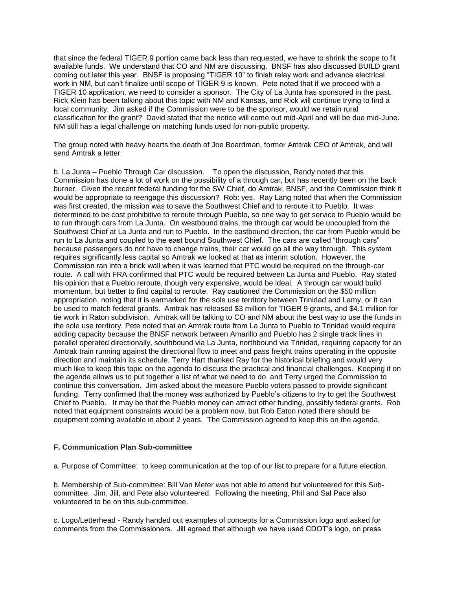that since the federal TIGER 9 portion came back less than requested, we have to shrink the scope to fit available funds. We understand that CO and NM are discussing. BNSF has also discussed BUILD grant coming out later this year. BNSF is proposing "TIGER 10" to finish relay work and advance electrical work in NM, but can't finalize until scope of TIGER 9 is known. Pete noted that if we proceed with a TIGER 10 application, we need to consider a sponsor. The City of La Junta has sponsored in the past. Rick Klein has been talking about this topic with NM and Kansas, and Rick will continue trying to find a local community. Jim asked if the Commission were to be the sponsor, would we retain rural classification for the grant? David stated that the notice will come out mid-April and will be due mid-June. NM still has a legal challenge on matching funds used for non-public property.

The group noted with heavy hearts the death of Joe Boardman, former Amtrak CEO of Amtrak, and will send Amtrak a letter

b. La Junta – Pueblo Through Car discussion. To open the discussion, Randy noted that this Commission has done a lot of work on the possibility of a through car, but has recently been on the back burner. Given the recent federal funding for the SW Chief, do Amtrak, BNSF, and the Commission think it would be appropriate to reengage this discussion? Rob: yes. Ray Lang noted that when the Commission was first created, the mission was to save the Southwest Chief and to reroute it to Pueblo. It was determined to be cost prohibitive to reroute through Pueblo, so one way to get service to Pueblo would be to run through cars from La Junta. On westbound trains, the through car would be uncoupled from the Southwest Chief at La Junta and run to Pueblo. In the eastbound direction, the car from Pueblo would be run to La Junta and coupled to the east bound Southwest Chief. The cars are called "through cars" because passengers do not have to change trains, their car would go all the way through. This system requires significantly less capital so Amtrak we looked at that as interim solution. However, the Commission ran into a brick wall when it was learned that PTC would be required on the through-car route. A call with FRA confirmed that PTC would be required between La Junta and Pueblo. Ray stated his opinion that a Pueblo reroute, though very expensive, would be ideal. A through car would build momentum, but better to find capital to reroute. Ray cautioned the Commission on the \$50 million appropriation, noting that it is earmarked for the sole use territory between Trinidad and Lamy, or it can be used to match federal grants. Amtrak has released \$3 million for TIGER 9 grants, and \$4.1 million for tie work in Raton subdivision. Amtrak will be talking to CO and NM about the best way to use the funds in the sole use territory. Pete noted that an Amtrak route from La Junta to Pueblo to Trinidad would require adding capacity because the BNSF network between Amarillo and Pueblo has 2 single track lines in parallel operated directionally, southbound via La Junta, northbound via Trinidad, requiring capacity for an Amtrak train running against the directional flow to meet and pass freight trains operating in the opposite direction and maintain its schedule. Terry Hart thanked Ray for the historical briefing and would very much like to keep this topic on the agenda to discuss the practical and financial challenges. Keeping it on the agenda allows us to put together a list of what we need to do, and Terry urged the Commission to continue this conversation. Jim asked about the measure Pueblo voters passed to provide significant funding. Terry confirmed that the money was authorized by Pueblo's citizens to try to get the Southwest Chief to Pueblo. It may be that the Pueblo money can attract other funding, possibly federal grants. Rob noted that equipment constraints would be a problem now, but Rob Eaton noted there should be equipment coming available in about 2 years. The Commission agreed to keep this on the agenda.

#### **F. Communication Plan Sub-committee**

a. Purpose of Committee: to keep communication at the top of our list to prepare for a future election.

b. Membership of Sub-committee: Bill Van Meter was not able to attend but volunteered for this Subcommittee. Jim, Jill, and Pete also volunteered. Following the meeting, Phil and Sal Pace also volunteered to be on this sub-committee.

c. Logo/Letterhead - Randy handed out examples of concepts for a Commission logo and asked for comments from the Commissioners. Jill agreed that although we have used CDOT's logo, on press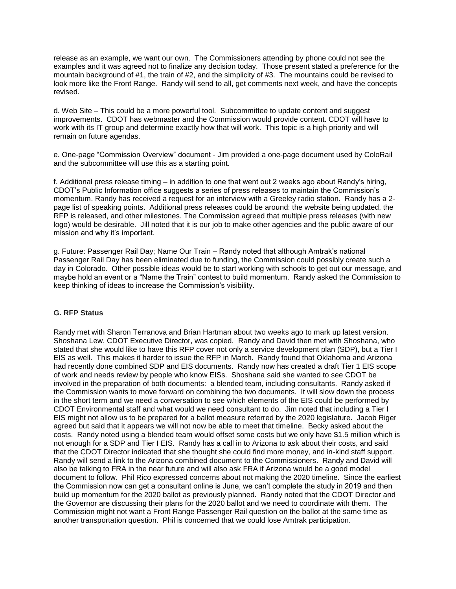release as an example, we want our own. The Commissioners attending by phone could not see the examples and it was agreed not to finalize any decision today. Those present stated a preference for the mountain background of #1, the train of #2, and the simplicity of #3. The mountains could be revised to look more like the Front Range. Randy will send to all, get comments next week, and have the concepts revised.

d. Web Site – This could be a more powerful tool. Subcommittee to update content and suggest improvements. CDOT has webmaster and the Commission would provide content. CDOT will have to work with its IT group and determine exactly how that will work. This topic is a high priority and will remain on future agendas.

e. One-page "Commission Overview" document - Jim provided a one-page document used by ColoRail and the subcommittee will use this as a starting point.

f. Additional press release timing – in addition to one that went out 2 weeks ago about Randy's hiring, CDOT's Public Information office suggests a series of press releases to maintain the Commission's momentum. Randy has received a request for an interview with a Greeley radio station. Randy has a 2 page list of speaking points. Additional press releases could be around: the website being updated, the RFP is released, and other milestones. The Commission agreed that multiple press releases (with new logo) would be desirable. Jill noted that it is our job to make other agencies and the public aware of our mission and why it's important.

g. Future: Passenger Rail Day; Name Our Train – Randy noted that although Amtrak's national Passenger Rail Day has been eliminated due to funding, the Commission could possibly create such a day in Colorado. Other possible ideas would be to start working with schools to get out our message, and maybe hold an event or a "Name the Train" contest to build momentum. Randy asked the Commission to keep thinking of ideas to increase the Commission's visibility.

#### **G. RFP Status**

Randy met with Sharon Terranova and Brian Hartman about two weeks ago to mark up latest version. Shoshana Lew, CDOT Executive Director, was copied. Randy and David then met with Shoshana, who stated that she would like to have this RFP cover not only a service development plan (SDP), but a Tier I EIS as well. This makes it harder to issue the RFP in March. Randy found that Oklahoma and Arizona had recently done combined SDP and EIS documents. Randy now has created a draft Tier 1 EIS scope of work and needs review by people who know EISs. Shoshana said she wanted to see CDOT be involved in the preparation of both documents: a blended team, including consultants. Randy asked if the Commission wants to move forward on combining the two documents. It will slow down the process in the short term and we need a conversation to see which elements of the EIS could be performed by CDOT Environmental staff and what would we need consultant to do. Jim noted that including a Tier I EIS might not allow us to be prepared for a ballot measure referred by the 2020 legislature. Jacob Riger agreed but said that it appears we will not now be able to meet that timeline. Becky asked about the costs. Randy noted using a blended team would offset some costs but we only have \$1.5 million which is not enough for a SDP and Tier I EIS. Randy has a call in to Arizona to ask about their costs, and said that the CDOT Director indicated that she thought she could find more money, and in-kind staff support. Randy will send a link to the Arizona combined document to the Commissioners. Randy and David will also be talking to FRA in the near future and will also ask FRA if Arizona would be a good model document to follow. Phil Rico expressed concerns about not making the 2020 timeline. Since the earliest the Commission now can get a consultant online is June, we can't complete the study in 2019 and then build up momentum for the 2020 ballot as previously planned. Randy noted that the CDOT Director and the Governor are discussing their plans for the 2020 ballot and we need to coordinate with them. The Commission might not want a Front Range Passenger Rail question on the ballot at the same time as another transportation question. Phil is concerned that we could lose Amtrak participation.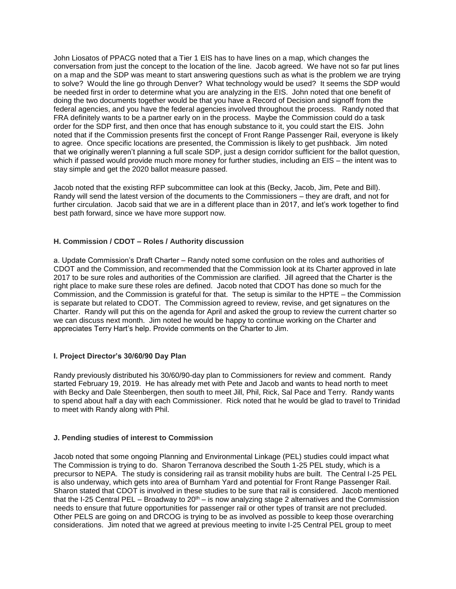John Liosatos of PPACG noted that a Tier 1 EIS has to have lines on a map, which changes the conversation from just the concept to the location of the line. Jacob agreed. We have not so far put lines on a map and the SDP was meant to start answering questions such as what is the problem we are trying to solve? Would the line go through Denver? What technology would be used? It seems the SDP would be needed first in order to determine what you are analyzing in the EIS. John noted that one benefit of doing the two documents together would be that you have a Record of Decision and signoff from the federal agencies, and you have the federal agencies involved throughout the process. Randy noted that FRA definitely wants to be a partner early on in the process. Maybe the Commission could do a task order for the SDP first, and then once that has enough substance to it, you could start the EIS. John noted that if the Commission presents first the concept of Front Range Passenger Rail, everyone is likely to agree. Once specific locations are presented, the Commission is likely to get pushback. Jim noted that we originally weren't planning a full scale SDP, just a design corridor sufficient for the ballot question, which if passed would provide much more money for further studies, including an EIS – the intent was to stay simple and get the 2020 ballot measure passed.

Jacob noted that the existing RFP subcommittee can look at this (Becky, Jacob, Jim, Pete and Bill). Randy will send the latest version of the documents to the Commissioners – they are draft, and not for further circulation. Jacob said that we are in a different place than in 2017, and let's work together to find best path forward, since we have more support now.

## **H. Commission / CDOT – Roles / Authority discussion**

a. Update Commission's Draft Charter – Randy noted some confusion on the roles and authorities of CDOT and the Commission, and recommended that the Commission look at its Charter approved in late 2017 to be sure roles and authorities of the Commission are clarified. Jill agreed that the Charter is the right place to make sure these roles are defined. Jacob noted that CDOT has done so much for the Commission, and the Commission is grateful for that. The setup is similar to the HPTE – the Commission is separate but related to CDOT. The Commission agreed to review, revise, and get signatures on the Charter. Randy will put this on the agenda for April and asked the group to review the current charter so we can discuss next month. Jim noted he would be happy to continue working on the Charter and appreciates Terry Hart's help. Provide comments on the Charter to Jim.

#### **I. Project Director's 30/60/90 Day Plan**

Randy previously distributed his 30/60/90-day plan to Commissioners for review and comment. Randy started February 19, 2019. He has already met with Pete and Jacob and wants to head north to meet with Becky and Dale Steenbergen, then south to meet Jill, Phil, Rick, Sal Pace and Terry. Randy wants to spend about half a day with each Commissioner. Rick noted that he would be glad to travel to Trinidad to meet with Randy along with Phil.

#### **J. Pending studies of interest to Commission**

Jacob noted that some ongoing Planning and Environmental Linkage (PEL) studies could impact what The Commission is trying to do. Sharon Terranova described the South 1-25 PEL study, which is a precursor to NEPA. The study is considering rail as transit mobility hubs are built. The Central I-25 PEL is also underway, which gets into area of Burnham Yard and potential for Front Range Passenger Rail. Sharon stated that CDOT is involved in these studies to be sure that rail is considered. Jacob mentioned that the I-25 Central PEL – Broadway to  $20<sup>th</sup>$  – is now analyzing stage 2 alternatives and the Commission needs to ensure that future opportunities for passenger rail or other types of transit are not precluded. Other PELS are going on and DRCOG is trying to be as involved as possible to keep those overarching considerations. Jim noted that we agreed at previous meeting to invite I-25 Central PEL group to meet